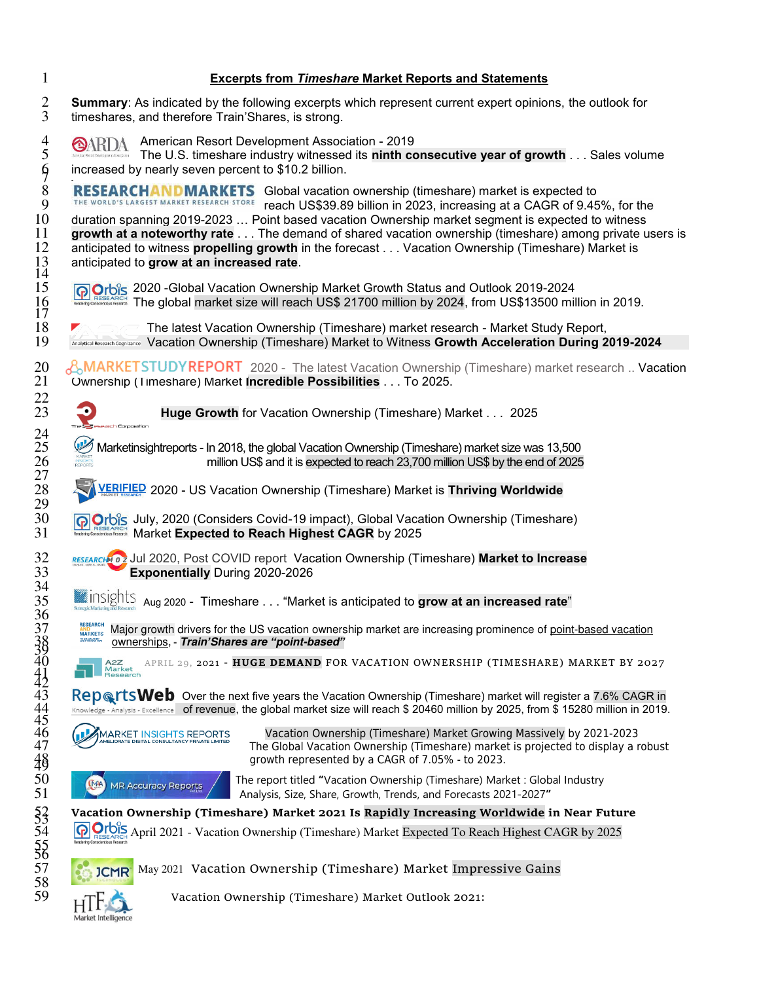| $\mathbf{1}$                                 | <b>Excerpts from Timeshare Market Reports and Statements</b>                                                                                                                                                                                                                                                                                                                                                                                                                                                                                                                   |
|----------------------------------------------|--------------------------------------------------------------------------------------------------------------------------------------------------------------------------------------------------------------------------------------------------------------------------------------------------------------------------------------------------------------------------------------------------------------------------------------------------------------------------------------------------------------------------------------------------------------------------------|
| $\overline{2}$<br>3                          | Summary: As indicated by the following excerpts which represent current expert opinions, the outlook for<br>timeshares, and therefore Train'Shares, is strong.                                                                                                                                                                                                                                                                                                                                                                                                                 |
| 4<br>5<br>$\oint$                            | American Resort Development Association - 2019<br>OARDA<br>The U.S. timeshare industry witnessed its ninth consecutive year of growth Sales volume<br>increased by nearly seven percent to \$10.2 billion.                                                                                                                                                                                                                                                                                                                                                                     |
| $8\,$<br>9<br>10<br>11<br>12<br>$^{13}_{14}$ | <b>RESEARCHANDMARKETS</b> Global vacation ownership (timeshare) market is expected to<br>THE WORLD'S LARGEST MARKET RESEARCH STORE<br>reach US\$39.89 billion in 2023, increasing at a CAGR of 9.45%, for the<br>duration spanning 2019-2023  Point based vacation Ownership market segment is expected to witness<br>growth at a noteworthy rate The demand of shared vacation ownership (timeshare) among private users is<br>anticipated to witness propelling growth in the forecast Vacation Ownership (Timeshare) Market is<br>anticipated to grow at an increased rate. |
| 15<br>$\frac{16}{17}$                        | Orbis 2020 - Global Vacation Ownership Market Growth Status and Outlook 2019-2024<br>The global market size will reach US\$ 21700 million by 2024, from US\$13500 million in 2019.                                                                                                                                                                                                                                                                                                                                                                                             |
| 18<br>19                                     | The latest Vacation Ownership (Timeshare) market research - Market Study Report,<br>Analytical Research Cognizance Vacation Ownership (Timeshare) Market to Witness Growth Acceleration During 2019-2024                                                                                                                                                                                                                                                                                                                                                                       |
| 20<br>21<br>22                               | <b>AMARKETSTUDYREPORT</b> 2020 - The latest Vacation Ownership (Timeshare) market research  Vacation<br>Ownership (Timeshare) Market Incredible Possibilities To 2025.                                                                                                                                                                                                                                                                                                                                                                                                         |
| 23                                           | Huge Growth for Vacation Ownership (Timeshare) Market 2025<br>arch Corporation                                                                                                                                                                                                                                                                                                                                                                                                                                                                                                 |
| 24<br>25<br>26<br>27                         | $\mathbb{Q}$<br>Marketinsightreports - In 2018, the global Vacation Ownership (Timeshare) market size was 13,500<br>million US\$ and it is expected to reach 23,700 million US\$ by the end of 2025                                                                                                                                                                                                                                                                                                                                                                            |
| 28<br>29                                     | VERIFIED 2020 - US Vacation Ownership (Timeshare) Market is Thriving Worldwide                                                                                                                                                                                                                                                                                                                                                                                                                                                                                                 |
| 30<br>31                                     | Orbis July, 2020 (Considers Covid-19 impact), Global Vacation Ownership (Timeshare)<br><b>NEI RESEARCH</b> Market Expected to Reach Highest CAGR by 2025                                                                                                                                                                                                                                                                                                                                                                                                                       |
| 32<br>33<br>34                               | RESEARCHMOZ Jul 2020, Post COVID report Vacation Ownership (Timeshare) Market to Increase<br><b>Exponentially During 2020-2026</b>                                                                                                                                                                                                                                                                                                                                                                                                                                             |
| 35<br>36                                     | $\frac{1}{2}$ inSights $\frac{1}{2}$ Aug 2020 - Timeshare $\dots$ "Market is anticipated to $\bf{grow}$ at an increased rate"                                                                                                                                                                                                                                                                                                                                                                                                                                                  |
| 37                                           | <b>RESEARCH</b><br>Major growth drivers for the US vacation ownership market are increasing prominence of point-based vacation<br><b>MARKETS</b><br>THE RUBBER OF MISSION<br>ownerships, - Train'Shares are "point-based"                                                                                                                                                                                                                                                                                                                                                      |
|                                              | APRIL 29, 2021 - HUGE DEMAND FOR VACATION OWNERSHIP (TIMESHARE) MARKET BY 2027<br>A2Z<br>Market<br>Research                                                                                                                                                                                                                                                                                                                                                                                                                                                                    |
|                                              | RepertsWeb Over the next five years the Vacation Ownership (Timeshare) market will register a 7.6% CAGR in<br>Knowledge - Analysis - Excellence of revenue, the global market size will reach \$ 20460 million by 2025, from \$ 15280 million in 2019.                                                                                                                                                                                                                                                                                                                         |
| 48                                           | Vacation Ownership (Timeshare) Market Growing Massively by 2021-2023<br><b>MARKET INSIGHTS REPORTS</b><br>AMELIORATE DIGITAL CONSULTANCY PRIVATE LIMITED<br>The Global Vacation Ownership (Timeshare) market is projected to display a robust<br>growth represented by a CAGR of 7.05% - to 2023.                                                                                                                                                                                                                                                                              |
| 50<br>51                                     | The report titled "Vacation Ownership (Timeshare) Market: Global Industry<br><b>MAA</b><br><b>MR Accuracy Reports</b><br>Analysis, Size, Share, Growth, Trends, and Forecasts 2021-2027"                                                                                                                                                                                                                                                                                                                                                                                       |
|                                              | Vacation Ownership (Timeshare) Market 2021 Is Rapidly Increasing Worldwide in Near Future                                                                                                                                                                                                                                                                                                                                                                                                                                                                                      |
| 533<br>534<br>556<br>57<br>58                | <b>G</b> Orbis April 2021 - Vacation Ownership (Timeshare) Market Expected To Reach Highest CAGR by 2025                                                                                                                                                                                                                                                                                                                                                                                                                                                                       |
|                                              | May 2021 Vacation Ownership (Timeshare) Market Impressive Gains<br><b>JCMR</b>                                                                                                                                                                                                                                                                                                                                                                                                                                                                                                 |
| 59                                           | <b>LITE</b><br>Vacation Ownership (Timeshare) Market Outlook 2021:                                                                                                                                                                                                                                                                                                                                                                                                                                                                                                             |